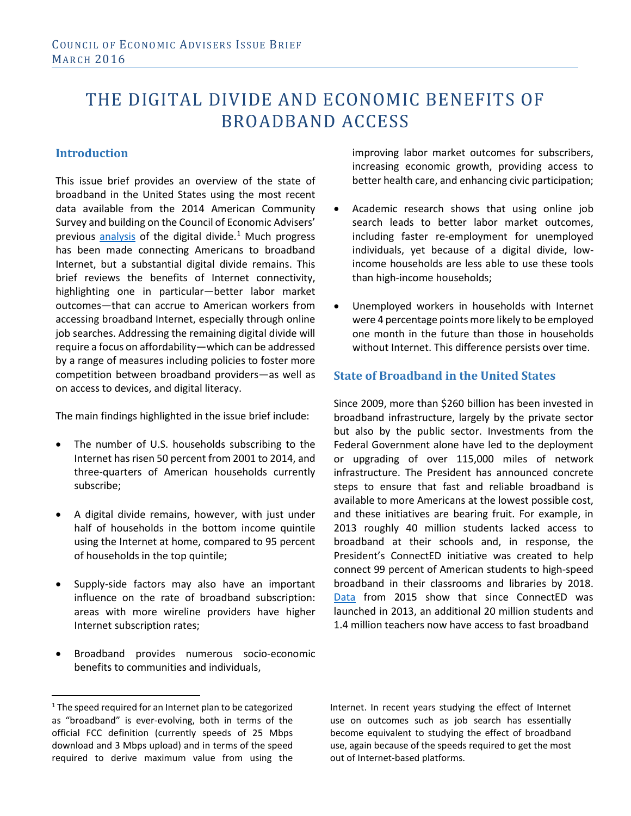# THE DIGITAL DIVIDE AND ECONOMIC BENEFITS OF BROADBAND ACCESS

## **Introduction**

This issue brief provides an overview of the state of broadband in the United States using the most recent data available from the 2014 American Community Survey and building on the Council of Economic Advisers' previous [analysis](https://www.whitehouse.gov/sites/default/files/wh_digital_divide_issue_brief.pdf) of the digital divide. $1$  Much progress has been made connecting Americans to broadband Internet, but a substantial digital divide remains. This brief reviews the benefits of Internet connectivity, highlighting one in particular—better labor market outcomes—that can accrue to American workers from accessing broadband Internet, especially through online job searches. Addressing the remaining digital divide will require a focus on affordability—which can be addressed by a range of measures including policies to foster more competition between broadband providers—as well as on access to devices, and digital literacy.

The main findings highlighted in the issue brief include:

- The number of U.S. households subscribing to the Internet has risen 50 percent from 2001 to 2014, and three-quarters of American households currently subscribe;
- A digital divide remains, however, with just under half of households in the bottom income quintile using the Internet at home, compared to 95 percent of households in the top quintile;
- Supply-side factors may also have an important influence on the rate of broadband subscription: areas with more wireline providers have higher Internet subscription rates;
- Broadband provides numerous socio-economic benefits to communities and individuals,

improving labor market outcomes for subscribers, increasing economic growth, providing access to better health care, and enhancing civic participation;

- Academic research shows that using online job search leads to better labor market outcomes, including faster re-employment for unemployed individuals, yet because of a digital divide, lowincome households are less able to use these tools than high-income households;
- Unemployed workers in households with Internet were 4 percentage points more likely to be employed one month in the future than those in households without Internet. This difference persists over time.

## **State of Broadband in the United States**

Since 2009, more than \$260 billion has been invested in broadband infrastructure, largely by the private sector but also by the public sector. Investments from the Federal Government alone have led to the deployment or upgrading of over 115,000 miles of network infrastructure. The President has announced concrete steps to ensure that fast and reliable broadband is available to more Americans at the lowest possible cost, and these initiatives are bearing fruit. For example, in 2013 roughly 40 million students lacked access to broadband at their schools and, in response, the President's ConnectED initiative was created to help connect 99 percent of American students to high-speed broadband in their classrooms and libraries by 2018. [Data](http://stateofthestates.educationsuperhighway.org/) from 2015 show that since ConnectED was launched in 2013, an additional 20 million students and 1.4 million teachers now have access to fast broadband

Internet. In recent years studying the effect of Internet use on outcomes such as job search has essentially become equivalent to studying the effect of broadband use, again because of the speeds required to get the most out of Internet-based platforms.

<span id="page-0-0"></span> $1$  The speed required for an Internet plan to be categorized as "broadband" is ever-evolving, both in terms of the official FCC definition (currently speeds of 25 Mbps download and 3 Mbps upload) and in terms of the speed required to derive maximum value from using the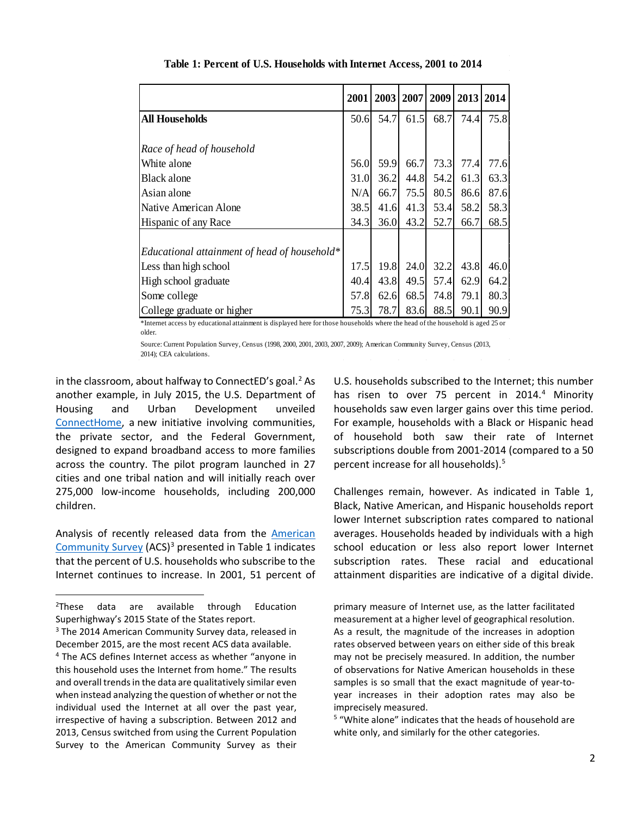|                                              | 2001 | 2003 | 2007 | 2009 | 2013 | 2014 |
|----------------------------------------------|------|------|------|------|------|------|
| All Households                               | 50.6 | 54.7 | 61.5 | 68.7 | 74.4 | 75.8 |
|                                              |      |      |      |      |      |      |
| Race of head of household                    |      |      |      |      |      |      |
| White alone                                  | 56.0 | 59.9 | 66.7 | 73.3 | 77.4 | 77.6 |
| Black alone                                  | 31.0 | 36.2 | 44.8 | 54.2 | 61.3 | 63.3 |
| Asian alone                                  | N/A  | 66.7 | 75.5 | 80.5 | 86.6 | 87.6 |
| Native American Alone                        | 38.5 | 41.6 | 41.3 | 53.4 | 58.2 | 58.3 |
| Hispanic of any Race                         | 34.3 | 36.0 | 43.2 | 52.7 | 66.7 | 68.5 |
|                                              |      |      |      |      |      |      |
| Educational attainment of head of household* |      |      |      |      |      |      |
| Less than high school                        | 17.5 | 19.8 | 24.0 | 32.2 | 43.8 | 46.0 |
| High school graduate                         | 40.4 | 43.8 | 49.5 | 57.4 | 62.9 | 64.2 |
| Some college                                 | 57.8 | 62.6 | 68.5 | 74.8 | 79.1 | 80.3 |
| College graduate or higher                   | 75.3 | 78.7 | 83.6 | 88.5 | 90.1 | 90.9 |

**Table 1: Percent of U.S. Households with Internet Access, 2001 to 2014** 

\*Internet access by educational attainment is displayed here for those households where the head of the household is aged 25 or older.

Source: Current Population Survey, Census (1998, 2000, 2001, 2003, 2007, 2009); American Community Survey, Census (2013, 2014); CEA calculations.

in the classroom, about halfway to ConnectED's goal.<sup>[2](#page-1-0)</sup> As another example, in July 2015, the U.S. Department of Housing and Urban Development unveiled [ConnectHome,](http://connecthome.hud.gov/) a new initiative involving communities, the private sector, and the Federal Government, designed to expand broadband access to more families across the country. The pilot program launched in 27 cities and one tribal nation and will initially reach over 275,000 low-income households, including 200,000 children.

Analysis of recently released data from the [American](https://www.census.gov/programs-surveys/acs/)  [Community Survey](https://www.census.gov/programs-surveys/acs/)  $(ACS)^3$  $(ACS)^3$  presented in Table 1 indicates that the percent of U.S. households who subscribe to the Internet continues to increase. In 2001, 51 percent of

U.S. households subscribed to the Internet; this number has risen to over 75 percent in  $2014<sup>4</sup>$  $2014<sup>4</sup>$  $2014<sup>4</sup>$  Minority households saw even larger gains over this time period. For example, households with a Black or Hispanic head of household both saw their rate of Internet subscriptions double from 2001-2014 (compared to a 50 percent increase for all households).[5](#page-1-3)

Challenges remain, however. As indicated in Table 1, Black, Native American, and Hispanic households report lower Internet subscription rates compared to national averages. Households headed by individuals with a high school education or less also report lower Internet subscription rates. These racial and educational attainment disparities are indicative of a digital divide.

primary measure of Internet use, as the latter facilitated measurement at a higher level of geographical resolution. As a result, the magnitude of the increases in adoption rates observed between years on either side of this break may not be precisely measured. In addition, the number of observations for Native American households in these samples is so small that the exact magnitude of year-toyear increases in their adoption rates may also be imprecisely measured.

<sup>5</sup> "White alone" indicates that the heads of household are white only, and similarly for the other categories.

<span id="page-1-0"></span> $\overline{2}$  $2$ These data are available through Education Superhighway's 2015 State of the States report.

<span id="page-1-1"></span><sup>&</sup>lt;sup>3</sup> The 2014 American Community Survey data, released in December 2015, are the most recent ACS data available.

<span id="page-1-3"></span><span id="page-1-2"></span><sup>4</sup> The ACS defines Internet access as whether "anyone in this household uses the Internet from home." The results and overall trends in the data are qualitatively similar even when instead analyzing the question of whether or not the individual used the Internet at all over the past year, irrespective of having a subscription. Between 2012 and 2013, Census switched from using the Current Population Survey to the American Community Survey as their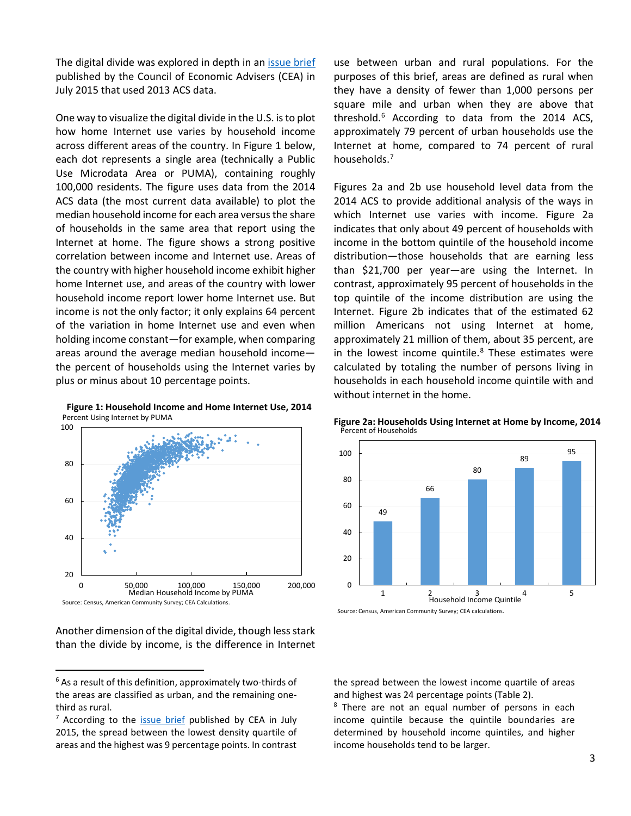The digital divide was explored in depth in an [issue brief](https://www.whitehouse.gov/sites/default/files/wh_digital_divide_issue_brief.pdf) published by the Council of Economic Advisers (CEA) in July 2015 that used 2013 ACS data.

One way to visualize the digital divide in the U.S. is to plot how home Internet use varies by household income across different areas of the country. In Figure 1 below, each dot represents a single area (technically a Public Use Microdata Area or PUMA), containing roughly 100,000 residents. The figure uses data from the 2014 ACS data (the most current data available) to plot the median household income for each area versus the share of households in the same area that report using the Internet at home. The figure shows a strong positive correlation between income and Internet use. Areas of the country with higher household income exhibit higher home Internet use, and areas of the country with lower household income report lower home Internet use. But income is not the only factor; it only explains 64 percent of the variation in home Internet use and even when holding income constant—for example, when comparing areas around the average median household income the percent of households using the Internet varies by plus or minus about 10 percentage points.



Another dimension of the digital divide, though less stark than the divide by income, is the difference in Internet use between urban and rural populations. For the purposes of this brief, areas are defined as rural when they have a density of fewer than 1,000 persons per square mile and urban when they are above that threshold. $6$  According to data from the 2014 ACS, approximately 79 percent of urban households use the Internet at home, compared to 74 percent of rural households.<sup>[7](#page-2-1)</sup>

Figures 2a and 2b use household level data from the 2014 ACS to provide additional analysis of the ways in which Internet use varies with income. Figure 2a indicates that only about 49 percent of households with income in the bottom quintile of the household income distribution—those households that are earning less than \$21,700 per year—are using the Internet. In contrast, approximately 95 percent of households in the top quintile of the income distribution are using the Internet. Figure 2b indicates that of the estimated 62 million Americans not using Internet at home, approximately 21 million of them, about 35 percent, are in the lowest income quintile. $8$  These estimates were calculated by totaling the number of persons living in households in each household income quintile with and without internet in the home.



**Figure 2a: Households Using Internet at Home by Income, 2014** Percent of Households

the spread between the lowest income quartile of areas and highest was 24 percentage points (Table 2).<br><sup>8</sup> There are not an equal number of persons in each

income quintile because the quintile boundaries are determined by household income quintiles, and higher income households tend to be larger.

<span id="page-2-0"></span> $6$  As a result of this definition, approximately two-thirds of the areas are classified as urban, and the remaining onethird as rural.

<span id="page-2-2"></span><span id="page-2-1"></span> $7$  According to the [issue brief](https://www.whitehouse.gov/sites/default/files/wh_digital_divide_issue_brief.pdf) published by CEA in July 2015, the spread between the lowest density quartile of areas and the highest was 9 percentage points. In contrast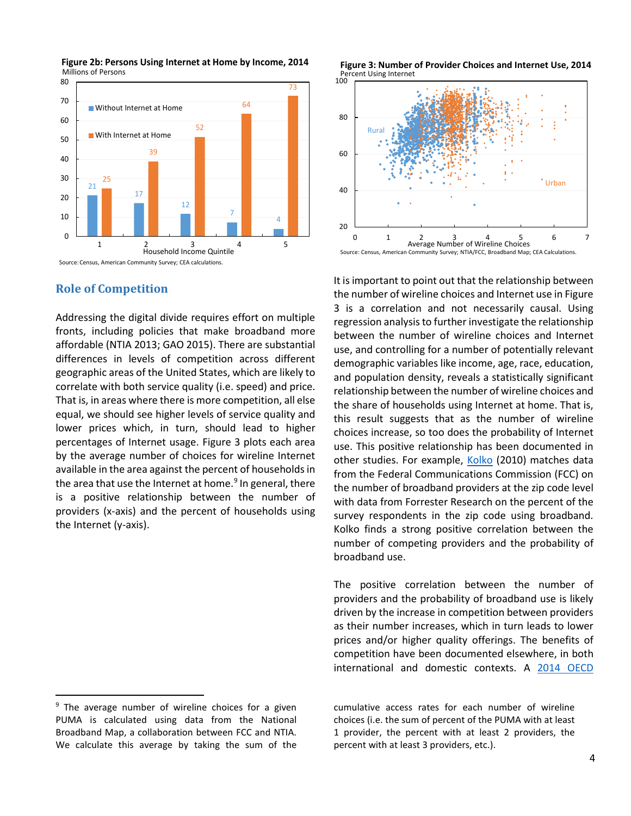

**Figure 2b: Persons Using Internet at Home by Income, 2014** Millions of Persons

## **Role of Competition**

Addressing the digital divide requires effort on multiple fronts, including policies that make broadband more affordable (NTIA 2013; GAO 2015). There are substantial differences in levels of competition across different geographic areas of the United States, which are likely to correlate with both service quality (i.e. speed) and price. That is, in areas where there is more competition, all else equal, we should see higher levels of service quality and lower prices which, in turn, should lead to higher percentages of Internet usage. Figure 3 plots each area by the average number of choices for wireline Internet available in the area against the percent of households in the area that use the Internet at home. $9$  In general, there is a positive relationship between the number of providers (x-axis) and the percent of households using the Internet (y-axis).

Percent Using Internet **Figure 3: Number of Provider Choices and Internet Use, 2014**



It is important to point out that the relationship between the number of wireline choices and Internet use in Figure 3 is a correlation and not necessarily causal. Using regression analysis to further investigate the relationship between the number of wireline choices and Internet use, and controlling for a number of potentially relevant demographic variables like income, age, race, education, and population density, reveals a statistically significant relationship between the number of wireline choices and the share of households using Internet at home. That is, this result suggests that as the number of wireline choices increase, so too does the probability of Internet use. This positive relationship has been documented in other studies. For example, [Kolko](http://www.sciencedirect.com/science/article/pii/S0308596109001281) (2010) matches data from the Federal Communications Commission (FCC) on the number of broadband providers at the zip code level with data from Forrester Research on the percent of the survey respondents in the zip code using broadband. Kolko finds a strong positive correlation between the number of competing providers and the probability of broadband use.

The positive correlation between the number of providers and the probability of broadband use is likely driven by the increase in competition between providers as their number increases, which in turn leads to lower prices and/or higher quality offerings. The benefits of competition have been documented elsewhere, in both international and domestic contexts. A 2014 OECD

<span id="page-3-0"></span><sup>&</sup>lt;sup>9</sup> The average number of wireline choices for a given PUMA is calculated using data from the National Broadband Map, a collaboration between FCC and NTIA. We calculate this average by taking the sum of the

cumulative access rates for each number of wireline choices (i.e. the sum of percent of the PUMA with at least 1 provider, the percent with at least 2 providers, the percent with at least 3 providers, etc.).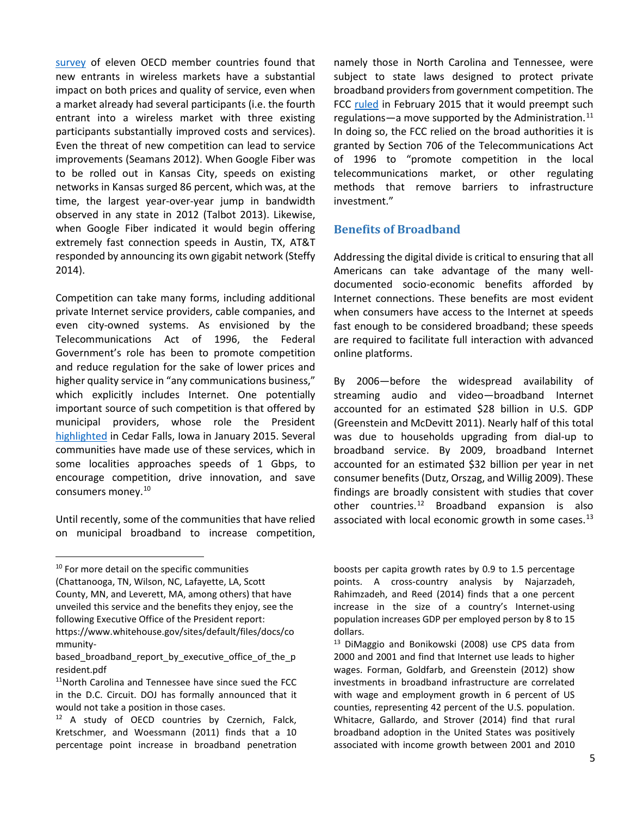[survey](http://www.oecd.org/officialdocuments/publicdisplaydocumentpdf/?cote=DSTI/ICCP/CISP(2014)2/FINAL&docLanguage=En) of eleven OECD member countries found that new entrants in wireless markets have a substantial impact on both prices and quality of service, even when a market already had several participants (i.e. the fourth entrant into a wireless market with three existing participants substantially improved costs and services). Even the threat of new competition can lead to service improvements (Seamans 2012). When Google Fiber was to be rolled out in Kansas City, speeds on existing networks in Kansas surged 86 percent, which was, at the time, the largest year-over-year jump in bandwidth observed in any state in 2012 (Talbot 2013). Likewise, when Google Fiber indicated it would begin offering extremely fast connection speeds in Austin, TX, AT&T responded by announcing its own gigabit network (Steffy 2014).

Competition can take many forms, including additional private Internet service providers, cable companies, and even city-owned systems. As envisioned by the Telecommunications Act of 1996, the Federal Government's role has been to promote competition and reduce regulation for the sake of lower prices and higher quality service in "any communications business," which explicitly includes Internet. One potentially important source of such competition is that offered by municipal providers, whose role the President [highlighted](https://www.whitehouse.gov/the-press-office/2015/01/14/remarks-president-promoting-community-broadband) in Cedar Falls, Iowa in January 2015. Several communities have made use of these services, which in some localities approaches speeds of 1 Gbps, to encourage competition, drive innovation, and save consumers money.[10](#page-4-0)

Until recently, some of the communities that have relied on municipal broadband to increase competition,

County, MN, and Leverett, MA, among others) that have unveiled this service and the benefits they enjoy, see the following Executive Office of the President report:

namely those in North Carolina and Tennessee, were subject to state laws designed to protect private broadband providers from government competition. The FCC [ruled](https://www.fcc.gov/document/fcc-preempts-laws-restricting-community-broadband-nctn) in February 2015 that it would preempt such regulations—a move supported by the Administration.<sup>[11](#page-4-1)</sup> In doing so, the FCC relied on the broad authorities it is granted by Section 706 of the Telecommunications Act of 1996 to "promote competition in the local telecommunications market, or other regulating methods that remove barriers to infrastructure investment."

## **Benefits of Broadband**

Addressing the digital divide is critical to ensuring that all Americans can take advantage of the many welldocumented socio-economic benefits afforded by Internet connections. These benefits are most evident when consumers have access to the Internet at speeds fast enough to be considered broadband; these speeds are required to facilitate full interaction with advanced online platforms.

By 2006—before the widespread availability of streaming audio and video—broadband Internet accounted for an estimated \$28 billion in U.S. GDP (Greenstein and McDevitt 2011). Nearly half of this total was due to households upgrading from dial-up to broadband service. By 2009, broadband Internet accounted for an estimated \$32 billion per year in net consumer benefits (Dutz, Orszag, and Willig 2009). These findings are broadly consistent with studies that cover other countries. $12$  Broadband expansion is also associated with local economic growth in some cases. $^{13}$  $^{13}$  $^{13}$ 

<span id="page-4-0"></span><sup>&</sup>lt;sup>10</sup> For more detail on the specific communities

<sup>(</sup>Chattanooga, TN, Wilson, NC, Lafayette, LA, Scott

<span id="page-4-3"></span>https://www.whitehouse.gov/sites/default/files/docs/co mmunity-

based\_broadband\_report\_by\_executive\_office\_of\_the\_p resident.pdf

<span id="page-4-1"></span><sup>11</sup>North Carolina and Tennessee have since sued the FCC in the D.C. Circuit. DOJ has formally announced that it would not take a position in those cases.

<span id="page-4-2"></span><sup>&</sup>lt;sup>12</sup> A study of OECD countries by Czernich, Falck, Kretschmer, and Woessmann (2011) finds that a 10 percentage point increase in broadband penetration

boosts per capita growth rates by 0.9 to 1.5 percentage points. A cross-country analysis by Najarzadeh, Rahimzadeh, and Reed (2014) finds that a one percent increase in the size of a country's Internet-using population increases GDP per employed person by 8 to 15 dollars.

<sup>&</sup>lt;sup>13</sup> DiMaggio and Bonikowski (2008) use CPS data from 2000 and 2001 and find that Internet use leads to higher wages. Forman, Goldfarb, and Greenstein (2012) show investments in broadband infrastructure are correlated with wage and employment growth in 6 percent of US counties, representing 42 percent of the U.S. population. Whitacre, Gallardo, and Strover (2014) find that rural broadband adoption in the United States was positively associated with income growth between 2001 and 2010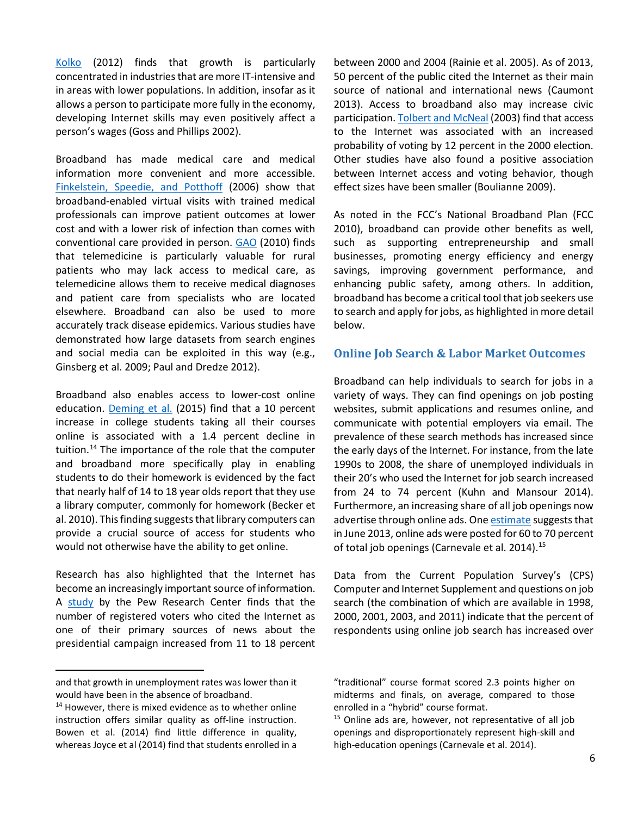[Kolko](http://www.sciencedirect.com/science/article/pii/S0094119011000490) (2012) finds that growth is particularly concentrated in industries that are more IT-intensive and in areas with lower populations. In addition, insofar as it allows a person to participate more fully in the economy, developing Internet skills may even positively affect a person's wages (Goss and Phillips 2002).

Broadband has made medical care and medical information more convenient and more accessible. [Finkelstein, Speedie, and Potthoff](http://www.ncbi.nlm.nih.gov/pubmed/16620167) (2006) show that broadband-enabled virtual visits with trained medical professionals can improve patient outcomes at lower cost and with a lower risk of infection than comes with conventional care provided in person. [GAO](http://www.gao.gov/products/GAO-11-27) (2010) finds that telemedicine is particularly valuable for rural patients who may lack access to medical care, as telemedicine allows them to receive medical diagnoses and patient care from specialists who are located elsewhere. Broadband can also be used to more accurately track disease epidemics. Various studies have demonstrated how large datasets from search engines and social media can be exploited in this way (e.g., Ginsberg et al. 2009; Paul and Dredze 2012).

Broadband also enables access to lower-cost online education. [Deming et al.](http://www.nber.org/papers/w20890) (2015) find that a 10 percent increase in college students taking all their courses online is associated with a 1.4 percent decline in tuition.<sup>[14](#page-5-0)</sup> The importance of the role that the computer and broadband more specifically play in enabling students to do their homework is evidenced by the fact that nearly half of 14 to 18 year olds report that they use a library computer, commonly for homework (Becker et al. 2010). This finding suggests that library computers can provide a crucial source of access for students who would not otherwise have the ability to get online.

Research has also highlighted that the Internet has become an increasingly important source of information. A [study](http://www.pewinternet.org/2005/03/06/the-Internet-and-campaign-2004/) by the Pew Research Center finds that the number of registered voters who cited the Internet as one of their primary sources of news about the presidential campaign increased from 11 to 18 percent

between 2000 and 2004 (Rainie et al. 2005). As of 2013, 50 percent of the public cited the Internet as their main source of national and international news (Caumont 2013). Access to broadband also may increase civic participation[. Tolbert and McNeal](http://www.jstor.org/stable/3219896) (2003) find that access to the Internet was associated with an increased probability of voting by 12 percent in the 2000 election. Other studies have also found a positive association between Internet access and voting behavior, though effect sizes have been smaller (Boulianne 2009).

As noted in the FCC's National Broadband Plan (FCC 2010), broadband can provide other benefits as well, such as supporting entrepreneurship and small businesses, promoting energy efficiency and energy savings, improving government performance, and enhancing public safety, among others. In addition, broadband has become a critical tool that job seekers use to search and apply for jobs, as highlighted in more detail below.

#### **Online Job Search & Labor Market Outcomes**

Broadband can help individuals to search for jobs in a variety of ways. They can find openings on job posting websites, submit applications and resumes online, and communicate with potential employers via email. The prevalence of these search methods has increased since the early days of the Internet. For instance, from the late 1990s to 2008, the share of unemployed individuals in their 20's who used the Internet for job search increased from 24 to 74 percent (Kuhn and Mansour 2014). Furthermore, an increasing share of all job openings now advertise through online ads. On[e estimate](https://cew.georgetown.edu/wp-content/uploads/2014/11/OCLM.Tech_.Web_.pdf) suggests that in June 2013, online ads were posted for 60 to 70 percent of total job openings (Carnevale et al. 2014).<sup>[15](#page-5-1)</sup>

Data from the Current Population Survey's (CPS) Computer and Internet Supplement and questions on job search (the combination of which are available in 1998, 2000, 2001, 2003, and 2011) indicate that the percent of respondents using online job search has increased over

 $\overline{\phantom{a}}$ 

and that growth in unemployment rates was lower than it would have been in the absence of broadband.

<span id="page-5-1"></span><span id="page-5-0"></span><sup>&</sup>lt;sup>14</sup> However, there is mixed evidence as to whether online instruction offers similar quality as off-line instruction. Bowen et al. (2014) find little difference in quality, whereas Joyce et al (2014) find that students enrolled in a

<sup>&</sup>quot;traditional" course format scored 2.3 points higher on midterms and finals, on average, compared to those enrolled in a "hybrid" course format.

<sup>&</sup>lt;sup>15</sup> Online ads are, however, not representative of all job openings and disproportionately represent high-skill and high-education openings (Carnevale et al. 2014).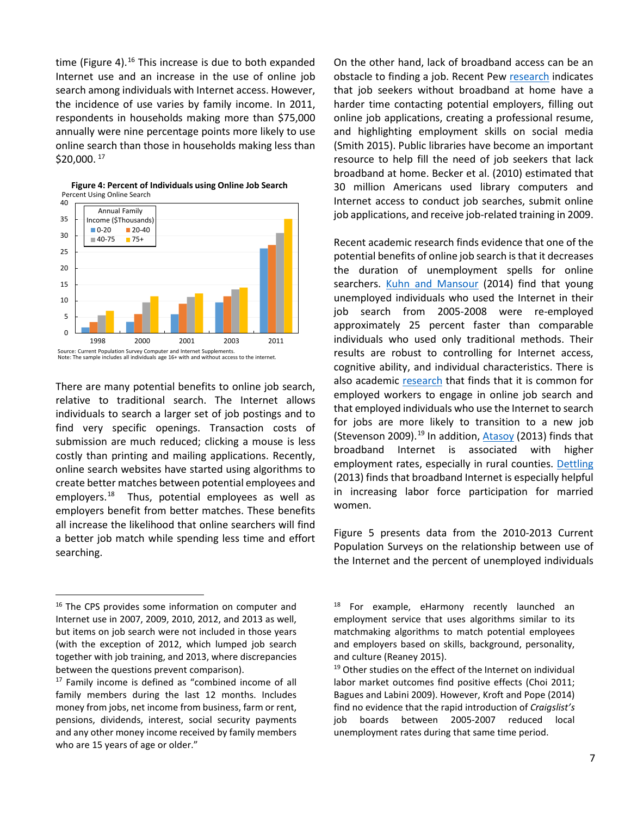time (Figure 4). $16$  This increase is due to both expanded Internet use and an increase in the use of online job search among individuals with Internet access. However, the incidence of use varies by family income. In 2011, respondents in households making more than \$75,000 annually were nine percentage points more likely to use online search than those in households making less than \$20,000. [17](#page-6-1)



**Figure 4: Percent of Individuals using Online Job Search** Percent Using Online Search

There are many potential benefits to online job search, relative to traditional search. The Internet allows individuals to search a larger set of job postings and to find very specific openings. Transaction costs of submission are much reduced; clicking a mouse is less costly than printing and mailing applications. Recently, online search websites have started using algorithms to create better matches between potential employees and employers.<sup>[18](#page-6-0)</sup> Thus, potential employees as well as employers benefit from better matches. These benefits all increase the likelihood that online searchers will find a better job match while spending less time and effort searching.

On the other hand, lack of broadband access can be an obstacle to finding a job. Recent Pew [research](http://www.pewresearch.org/fact-tank/2015/12/28/lack-of-broadband-can-be-a-key-obstacle-especially-for-job-seekers/) indicates that job seekers without broadband at home have a harder time contacting potential employers, filling out online job applications, creating a professional resume, and highlighting employment skills on social media (Smith 2015). Public libraries have become an important resource to help fill the need of job seekers that lack broadband at home. Becker et al. (2010) estimated that 30 million Americans used library computers and Internet access to conduct job searches, submit online job applications, and receive job-related training in 2009.

Recent academic research finds evidence that one of the potential benefits of online job search is that it decreases the duration of unemployment spells for online searchers. [Kuhn and Mansour](http://ftp.iza.org/dp5955.pdf) (2014) find that young unemployed individuals who used the Internet in their job search from 2005-2008 were re-employed approximately 25 percent faster than comparable individuals who used only traditional methods. Their results are robust to controlling for Internet access, cognitive ability, and individual characteristics. There is also academic [research](http://www.nber.org/chapters/c3586.pdf) that finds that it is common for employed workers to engage in online job search and that employed individuals who use the Internet to search for jobs are more likely to transition to a new job (Stevenson 2009).<sup>[19](#page-6-2)</sup> In addition,  $A\text{tasoy}$  (2013) finds that broadband Internet is associated with higher employment rates, especially in rural counties. [Dettling](http://www.federalreserve.gov/pubs/feds/2013/201365/201365pap.pdf) (2013) finds that broadband Internet is especially helpful in increasing labor force participation for married women.

Figure 5 presents data from the 2010-2013 Current Population Surveys on the relationship between use of the Internet and the percent of unemployed individuals

<span id="page-6-0"></span><sup>&</sup>lt;sup>16</sup> The CPS provides some information on computer and Internet use in 2007, 2009, 2010, 2012, and 2013 as well, but items on job search were not included in those years (with the exception of 2012, which lumped job search together with job training, and 2013, where discrepancies between the questions prevent comparison).

<span id="page-6-2"></span><span id="page-6-1"></span><sup>17</sup> Family income is defined as "combined income of all family members during the last 12 months. Includes money from jobs, net income from business, farm or rent, pensions, dividends, interest, social security payments and any other money income received by family members who are 15 years of age or older."

<sup>&</sup>lt;sup>18</sup> For example, eHarmony recently launched an employment service that uses algorithms similar to its matchmaking algorithms to match potential employees and employers based on skills, background, personality, and culture (Reaney 2015).

<sup>&</sup>lt;sup>19</sup> Other studies on the effect of the Internet on individual labor market outcomes find positive effects (Choi 2011; Bagues and Labini 2009). However, Kroft and Pope (2014) find no evidence that the rapid introduction of *Craigslist's*  job boards between 2005-2007 reduced local unemployment rates during that same time period.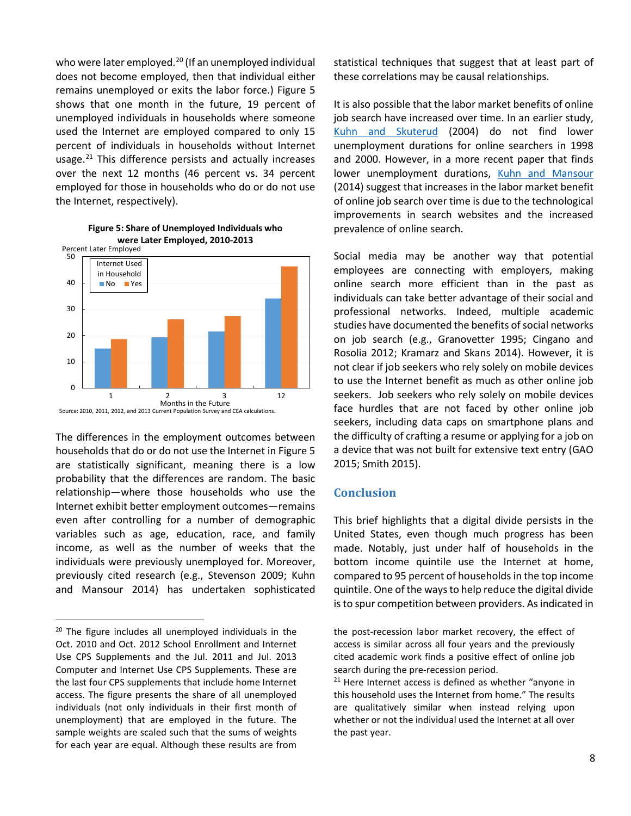who were later employed.<sup>[20](#page-7-0)</sup> (If an unemployed individual does not become employed, then that individual either remains unemployed or exits the labor force.) Figure 5 shows that one month in the future, 19 percent of unemployed individuals in households where someone used the Internet are employed compared to only 15 percent of individuals in households without Internet usage. $21$  This difference persists and actually increases over the next 12 months (46 percent vs. 34 percent employed for those in households who do or do not use the Internet, respectively).



**Figure 5: Share of Unemployed Individuals who**

The differences in the employment outcomes between households that do or do not use the Internet in Figure 5 are statistically significant, meaning there is a low probability that the differences are random. The basic relationship—where those households who use the Internet exhibit better employment outcomes—remains even after controlling for a number of demographic variables such as age, education, race, and family income, as well as the number of weeks that the individuals were previously unemployed for. Moreover, previously cited research (e.g., Stevenson 2009; Kuhn and Mansour 2014) has undertaken sophisticated

statistical techniques that suggest that at least part of these correlations may be causal relationships.

It is also possible that the labor market benefits of online job search have increased over time. In an earlier study, [Kuhn and Skuterud](https://www.aeaweb.org/articles.php?doi=10.1257/000282804322970779) (2004) do not find lower unemployment durations for online searchers in 1998 and 2000. However, in a more recent paper that finds lower unemployment durations, [Kuhn and Mansour](http://ftp.iza.org/dp5955.pdf) (2014) suggest that increases in the labor market benefit of online job search over time is due to the technological improvements in search websites and the increased prevalence of online search.

Social media may be another way that potential employees are connecting with employers, making online search more efficient than in the past as individuals can take better advantage of their social and professional networks. Indeed, multiple academic studies have documented the benefits of social networks on job search (e.g., Granovetter 1995; Cingano and Rosolia 2012; Kramarz and Skans 2014). However, it is not clear if job seekers who rely solely on mobile devices to use the Internet benefit as much as other online job seekers. Job seekers who rely solely on mobile devices face hurdles that are not faced by other online job seekers, including data caps on smartphone plans and the difficulty of crafting a resume or applying for a job on a device that was not built for extensive text entry (GAO 2015; Smith 2015).

## **Conclusion**

This brief highlights that a digital divide persists in the United States, even though much progress has been made. Notably, just under half of households in the bottom income quintile use the Internet at home, compared to 95 percent of households in the top income quintile. One of the ways to help reduce the digital divide is to spur competition between providers. As indicated in

the post-recession labor market recovery, the effect of access is similar across all four years and the previously cited academic work finds a positive effect of online job search during the pre-recession period.<br><sup>21</sup> Here Internet access is defined as whether "anyone in

this household uses the Internet from home." The results are qualitatively similar when instead relying upon whether or not the individual used the Internet at all over the past year.

<span id="page-7-1"></span><span id="page-7-0"></span><sup>&</sup>lt;sup>20</sup> The figure includes all unemployed individuals in the Oct. 2010 and Oct. 2012 School Enrollment and Internet Use CPS Supplements and the Jul. 2011 and Jul. 2013 Computer and Internet Use CPS Supplements. These are the last four CPS supplements that include home Internet access. The figure presents the share of all unemployed individuals (not only individuals in their first month of unemployment) that are employed in the future. The sample weights are scaled such that the sums of weights for each year are equal. Although these results are from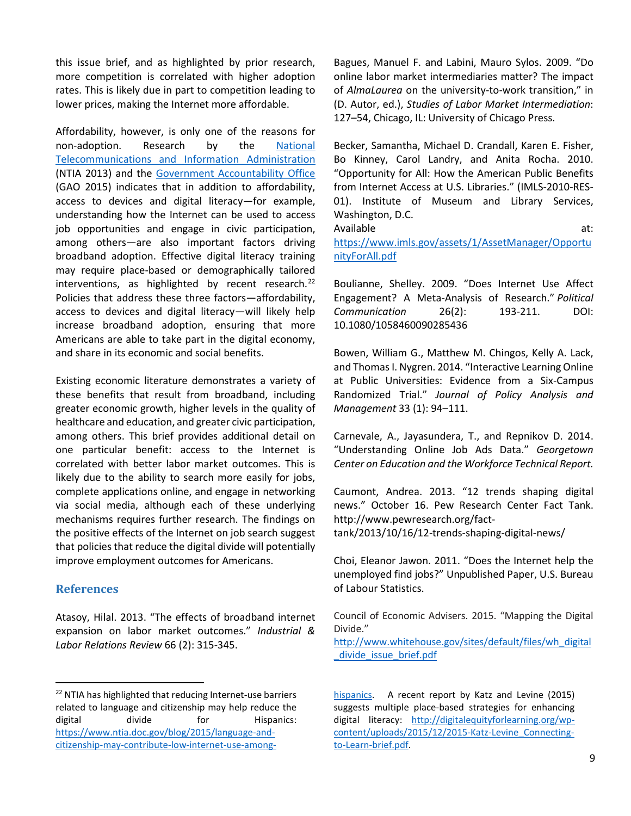this issue brief, and as highlighted by prior research, more competition is correlated with higher adoption rates. This is likely due in part to competition leading to lower prices, making the Internet more affordable.

Affordability, however, is only one of the reasons for non-adoption. Research by the [National](https://www.ntia.doc.gov/page/digital-nation-research-center)  [Telecommunications and Information Administration](https://www.ntia.doc.gov/page/digital-nation-research-center) (NTIA 2013) and the [Government Accountability Office](http://www.gao.gov/products/GAO-15-473) (GAO 2015) indicates that in addition to affordability, access to devices and digital literacy—for example, understanding how the Internet can be used to access job opportunities and engage in civic participation, among others—are also important factors driving broadband adoption. Effective digital literacy training may require place-based or demographically tailored interventions, as highlighted by recent research. $^{22}$  $^{22}$  $^{22}$ Policies that address these three factors—affordability, access to devices and digital literacy—will likely help increase broadband adoption, ensuring that more Americans are able to take part in the digital economy, and share in its economic and social benefits.

Existing economic literature demonstrates a variety of these benefits that result from broadband, including greater economic growth, higher levels in the quality of healthcare and education, and greater civic participation, among others. This brief provides additional detail on one particular benefit: access to the Internet is correlated with better labor market outcomes. This is likely due to the ability to search more easily for jobs, complete applications online, and engage in networking via social media, although each of these underlying mechanisms requires further research. The findings on the positive effects of the Internet on job search suggest that policies that reduce the digital divide will potentially improve employment outcomes for Americans.

## **References**

Atasoy, Hilal. 2013. "The effects of broadband internet expansion on labor market outcomes." *Industrial & Labor Relations Review* 66 (2): 315-345.

Bagues, Manuel F. and Labini, Mauro Sylos. 2009. "Do online labor market intermediaries matter? The impact of *AlmaLaurea* on the university-to-work transition," in (D. Autor, ed.), *Studies of Labor Market Intermediation*: 127–54, Chicago, IL: University of Chicago Press.

Becker, Samantha, Michael D. Crandall, Karen E. Fisher, Bo Kinney, Carol Landry, and Anita Rocha. 2010. "Opportunity for All: How the American Public Benefits from Internet Access at U.S. Libraries." (IMLS-2010-RES-01). Institute of Museum and Library Services, Washington, D.C.

Available at: [https://www.imls.gov/assets/1/AssetManager/Opportu](https://www.imls.gov/assets/1/AssetManager/OpportunityForAll.pdf) [nityForAll.pdf](https://www.imls.gov/assets/1/AssetManager/OpportunityForAll.pdf)

Boulianne, Shelley. 2009. "Does Internet Use Affect Engagement? A Meta-Analysis of Research." *Political Communication* 26(2): 193-211. DOI: 10.1080/1058460090285436

Bowen, William G., Matthew M. Chingos, Kelly A. Lack, and Thomas I. Nygren. 2014. "Interactive Learning Online at Public Universities: Evidence from a Six-Campus Randomized Trial." *Journal of Policy Analysis and Management* 33 (1): 94–111.

Carnevale, A., Jayasundera, T., and Repnikov D. 2014. "Understanding Online Job Ads Data." *Georgetown Center on Education and the Workforce Technical Report.*

Caumont, Andrea. 2013. "12 trends shaping digital news." October 16. Pew Research Center Fact Tank. http://www.pewresearch.org/facttank/2013/10/16/12-trends-shaping-digital-news/

Choi, Eleanor Jawon. 2011. "Does the Internet help the unemployed find jobs?" Unpublished Paper, U.S. Bureau of Labour Statistics.

Council of Economic Advisers. 2015. "Mapping the Digital Divide."

[http://www.whitehouse.gov/sites/default/files/wh\\_digital](http://www.whitehouse.gov/sites/default/files/wh_digital_divide_issue_brief.pdf) [\\_divide\\_issue\\_brief.pdf](http://www.whitehouse.gov/sites/default/files/wh_digital_divide_issue_brief.pdf)

[hispanics.](https://www.ntia.doc.gov/blog/2015/language-and-citizenship-may-contribute-low-internet-use-among-hispanics) A recent report by Katz and Levine (2015) suggests multiple place-based strategies for enhancing digital literacy: [http://digitalequityforlearning.org/wp](http://digitalequityforlearning.org/wp-content/uploads/2015/12/2015-Katz-Levine_Connecting-to-Learn-brief.pdf)[content/uploads/2015/12/2015-Katz-Levine\\_Connecting](http://digitalequityforlearning.org/wp-content/uploads/2015/12/2015-Katz-Levine_Connecting-to-Learn-brief.pdf)[to-Learn-brief.pdf.](http://digitalequityforlearning.org/wp-content/uploads/2015/12/2015-Katz-Levine_Connecting-to-Learn-brief.pdf) 

<span id="page-8-0"></span><sup>&</sup>lt;sup>22</sup> NTIA has highlighted that reducing Internet-use barriers related to language and citizenship may help reduce the digital divide for Hispanics: [https://www.ntia.doc.gov/blog/2015/language-and](https://www.ntia.doc.gov/blog/2015/language-and-citizenship-may-contribute-low-internet-use-among-hispanics)[citizenship-may-contribute-low-internet-use-among-](https://www.ntia.doc.gov/blog/2015/language-and-citizenship-may-contribute-low-internet-use-among-hispanics)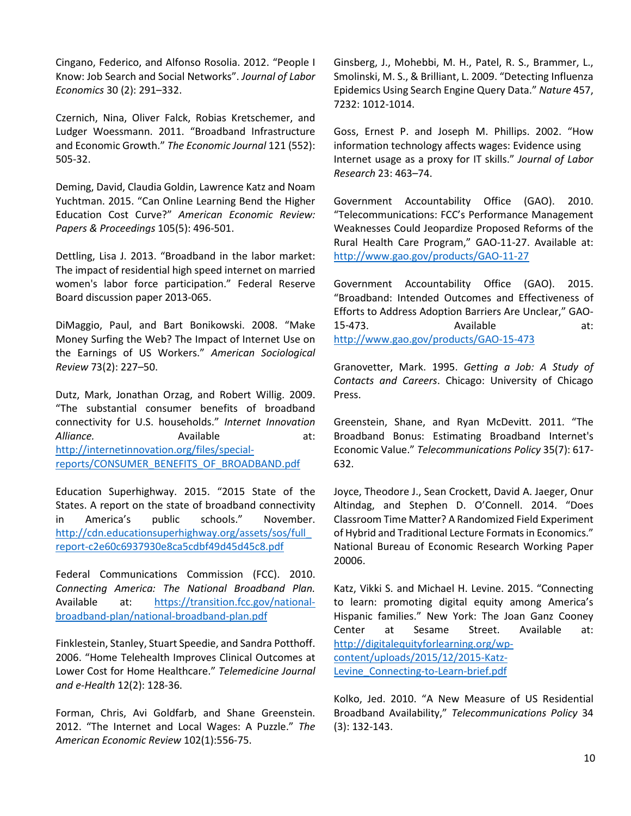Cingano, Federico, and Alfonso Rosolia. 2012. "People I Know: Job Search and Social Networks". *Journal of Labor Economics* 30 (2): 291–332.

Czernich, Nina, Oliver Falck, Robias Kretschemer, and Ludger Woessmann. 2011. "Broadband Infrastructure and Economic Growth." *The Economic Journal* 121 (552): 505-32.

Deming, David, Claudia Goldin, Lawrence Katz and Noam Yuchtman. 2015. "Can Online Learning Bend the Higher Education Cost Curve?" *American Economic Review: Papers & Proceedings* 105(5): 496-501.

Dettling, Lisa J. 2013. "Broadband in the labor market: The impact of residential high speed internet on married women's labor force participation." Federal Reserve Board discussion paper 2013-065.

DiMaggio, Paul, and Bart Bonikowski. 2008. "Make Money Surfing the Web? The Impact of Internet Use on the Earnings of US Workers." *American Sociological Review* 73(2): 227–50.

Dutz, Mark, Jonathan Orzag, and Robert Willig. 2009. "The substantial consumer benefits of broadband connectivity for U.S. households." *Internet Innovation*  Alliance. **Available** at: [http://internetinnovation.org/files/special](http://internetinnovation.org/files/special-reports/CONSUMER_BENEFITS_OF_BROADBAND.pdf)[reports/CONSUMER\\_BENEFITS\\_OF\\_BROADBAND.pdf](http://internetinnovation.org/files/special-reports/CONSUMER_BENEFITS_OF_BROADBAND.pdf)

Education Superhighway. 2015. "2015 State of the States. A report on the state of broadband connectivity in America's public schools." November. [http://cdn.educationsuperhighway.org/assets/sos/full\\_](http://cdn.educationsuperhighway.org/assets/sos/full_report-c2e60c6937930e8ca5cdbf49d45d45c8.pdf) [report-c2e60c6937930e8ca5cdbf49d45d45c8.pdf](http://cdn.educationsuperhighway.org/assets/sos/full_report-c2e60c6937930e8ca5cdbf49d45d45c8.pdf)

Federal Communications Commission (FCC). 2010. *Connecting America: The National Broadband Plan.* Available at: [https://transition.fcc.gov/national](https://transition.fcc.gov/national-broadband-plan/national-broadband-plan.pdf)[broadband-plan/national-broadband-plan.pdf](https://transition.fcc.gov/national-broadband-plan/national-broadband-plan.pdf)

Finklestein, Stanley, Stuart Speedie, and Sandra Potthoff. 2006. "Home Telehealth Improves Clinical Outcomes at Lower Cost for Home Healthcare." *Telemedicine Journal and e-Health* 12(2): 128-36.

Forman, Chris, Avi Goldfarb, and Shane Greenstein. 2012. "The Internet and Local Wages: A Puzzle." *The American Economic Review* 102(1):556-75.

Ginsberg, J., Mohebbi, M. H., Patel, R. S., Brammer, L., Smolinski, M. S., & Brilliant, L. 2009. "Detecting Influenza Epidemics Using Search Engine Query Data." *Nature* 457, 7232: 1012-1014.

Goss, Ernest P. and Joseph M. Phillips. 2002. "How information technology affects wages: Evidence using Internet usage as a proxy for IT skills." *Journal of Labor Research* 23: 463–74.

Government Accountability Office (GAO). 2010. "Telecommunications: FCC's Performance Management Weaknesses Could Jeopardize Proposed Reforms of the Rural Health Care Program," GAO-11-27. Available at: <http://www.gao.gov/products/GAO-11-27>

Government Accountability Office (GAO). 2015. "Broadband: Intended Outcomes and Effectiveness of Efforts to Address Adoption Barriers Are Unclear," GAO-15-473. Available at: <http://www.gao.gov/products/GAO-15-473>

Granovetter, Mark. 1995. *Getting a Job: A Study of Contacts and Careers*. Chicago: University of Chicago Press.

Greenstein, Shane, and Ryan McDevitt. 2011. "The Broadband Bonus: Estimating Broadband Internet's Economic Value." *Telecommunications Policy* 35(7): 617- 632.

Joyce, Theodore J., Sean Crockett, David A. Jaeger, Onur Altindag, and Stephen D. O'Connell. 2014. "Does Classroom Time Matter? A Randomized Field Experiment of Hybrid and Traditional Lecture Formats in Economics." National Bureau of Economic Research Working Paper 20006.

Katz, Vikki S. and Michael H. Levine. 2015. "Connecting to learn: promoting digital equity among America's Hispanic families." New York: The Joan Ganz Cooney Center at Sesame Street. Available at: [http://digitalequityforlearning.org/wp](http://digitalequityforlearning.org/wp-content/uploads/2015/12/2015-Katz-Levine_Connecting-to-Learn-brief.pdf)[content/uploads/2015/12/2015-Katz-](http://digitalequityforlearning.org/wp-content/uploads/2015/12/2015-Katz-Levine_Connecting-to-Learn-brief.pdf)Levine Connecting-to-Learn-brief.pdf

Kolko, Jed. 2010. "A New Measure of US Residential Broadband Availability," *Telecommunications Policy* 34 (3): 132-143.